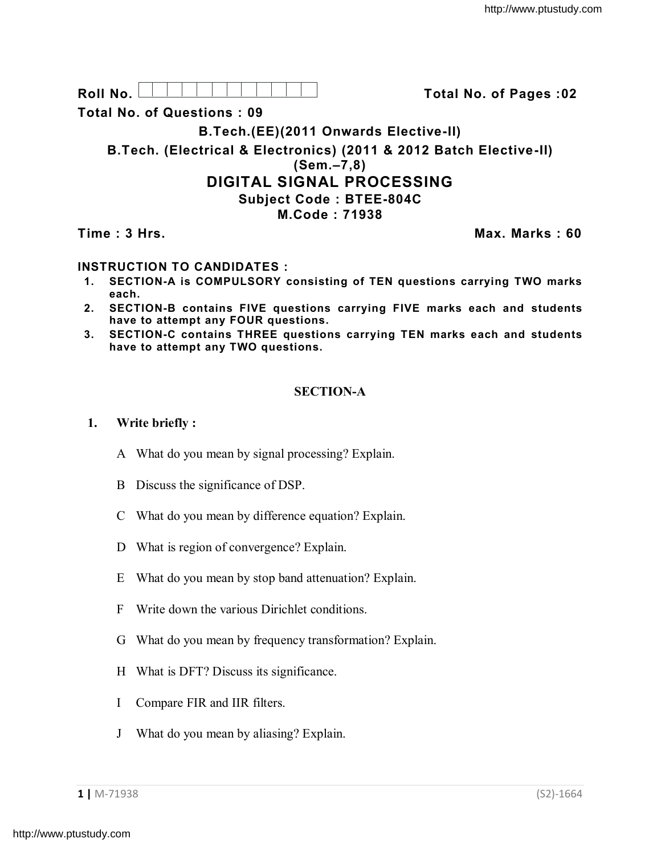| Roll No.                          | Total No. of Pages: 02                                                                |
|-----------------------------------|---------------------------------------------------------------------------------------|
| <b>Total No. of Questions: 09</b> |                                                                                       |
|                                   | B.Tech.(EE)(2011 Onwards Elective-II)                                                 |
|                                   | B. Tech. (Electrical & Electronics) (2011 & 2012 Batch Elective-II)<br>$(Sem. -7, 8)$ |
|                                   | <b>DIGITAL SIGNAL PROCESSING</b>                                                      |
|                                   | <b>Subject Code: BTEE-804C</b>                                                        |
|                                   | M.Code: 71938                                                                         |
| Time: 3 Hrs.                      | Max. Marks: 60                                                                        |

## **INSTRUCTION TO CANDIDATES :**

- **1. SECTION-A is COMPULSORY consisting of TEN questions carrying TWO marks each.**
- **2. SECTION-B contains FIVE questions carrying FIVE marks each and students have to attempt any FOUR questions.**
- **3. SECTION-C contains THREE questions carrying TEN marks each and students have to attempt any TWO questions.**

## **SECTION-A**

#### **1. Write briefly :**

- A What do you mean by signal processing? Explain.
- B Discuss the significance of DSP.
- C What do you mean by difference equation? Explain.
- D What is region of convergence? Explain.
- E What do you mean by stop band attenuation? Explain.
- F Write down the various Dirichlet conditions.
- G What do you mean by frequency transformation? Explain.
- H What is DFT? Discuss its significance.
- I Compare FIR and IIR filters.
- J What do you mean by aliasing? Explain.